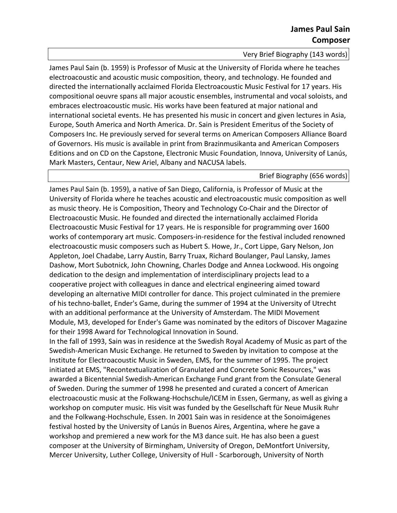Very Brief Biography (143 words)

James Paul Sain (b. 1959) is Professor of Music at the University of Florida where he teaches electroacoustic and acoustic music composition, theory, and technology. He founded and directed the internationally acclaimed Florida Electroacoustic Music Festival for 17 years. His compositional oeuvre spans all major acoustic ensembles, instrumental and vocal soloists, and embraces electroacoustic music. His works have been featured at major national and international societal events. He has presented his music in concert and given lectures in Asia, Europe, South America and North America. Dr. Sain is President Emeritus of the Society of Composers Inc. He previously served for several terms on American Composers Alliance Board of Governors. His music is available in print from Brazinmusikanta and American Composers Editions and on CD on the Capstone, Electronic Music Foundation, Innova, University of Lanús, Mark Masters, Centaur, New Ariel, Albany and NACUSA labels.

## Brief Biography (656 words)

James Paul Sain (b. 1959), a native of San Diego, California, is Professor of Music at the University of Florida where he teaches acoustic and electroacoustic music composition as well as music theory. He is Composition, Theory and Technology Co-Chair and the Director of Electroacoustic Music. He founded and directed the internationally acclaimed Florida Electroacoustic Music Festival for 17 years. He is responsible for programming over 1600 works of contemporary art music. Composers-in-residence for the festival included renowned electroacoustic music composers such as Hubert S. Howe, Jr., Cort Lippe, Gary Nelson, Jon Appleton, Joel Chadabe, Larry Austin, Barry Truax, Richard Boulanger, Paul Lansky, James Dashow, Mort Subotnick, John Chowning, Charles Dodge and Annea Lockwood. His ongoing dedication to the design and implementation of interdisciplinary projects lead to a cooperative project with colleagues in dance and electrical engineering aimed toward developing an alternative MIDI controller for dance. This project culminated in the premiere of his techno-ballet, Ender's Game, during the summer of 1994 at the University of Utrecht with an additional performance at the University of Amsterdam. The MIDI Movement Module, M3, developed for Ender's Game was nominated by the editors of Discover Magazine for their 1998 Award for Technological Innovation in Sound.

In the fall of 1993, Sain was in residence at the Swedish Royal Academy of Music as part of the Swedish-American Music Exchange. He returned to Sweden by invitation to compose at the Institute for Electroacoustic Music in Sweden, EMS, for the summer of 1995. The project initiated at EMS, "Recontextualization of Granulated and Concrete Sonic Resources," was awarded a Bicentennial Swedish-American Exchange Fund grant from the Consulate General of Sweden. During the summer of 1998 he presented and curated a concert of American electroacoustic music at the Folkwang-Hochschule/ICEM in Essen, Germany, as well as giving a workshop on computer music. His visit was funded by the Gesellschaft für Neue Musik Ruhr and the Folkwang-Hochschule, Essen. In 2001 Sain was in residence at the Sonoimágenes festival hosted by the University of Lanús in Buenos Aires, Argentina, where he gave a workshop and premiered a new work for the M3 dance suit. He has also been a guest composer at the University of Birmingham, University of Oregon, DeMontfort University, Mercer University, Luther College, University of Hull - Scarborough, University of North